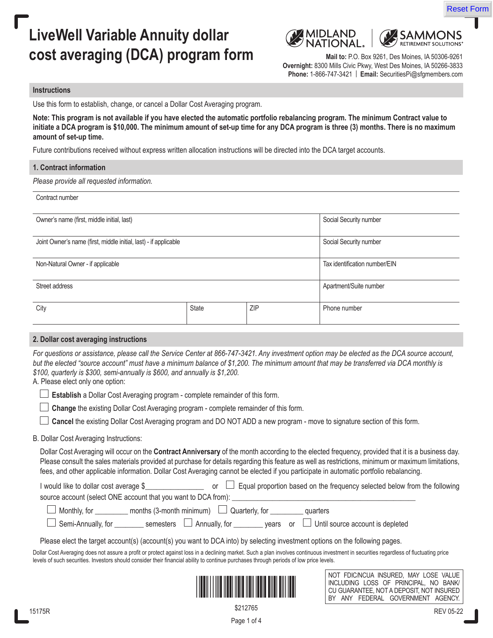# **LiveWell Variable Annuity dollar cost averaging (DCA) program form** Mail to: P.O. Box 9261, Des Moines, IA 50306-9261





**Overnight:** 8300 Mills Civic Pkwy, West Des Moines, IA 50266-3833 **Phone:** 1-866-747-3421 | **Email:** SecuritiesPi@sfgmembers.com

#### **Instructions**

Use this form to establish, change, or cancel a Dollar Cost Averaging program.

**Note: This program is not available if you have elected the automatic portfolio rebalancing program. The minimum Contract value to initiate a DCA program is \$10,000. The minimum amount of set-up time for any DCA program is three (3) months. There is no maximum amount of set-up time.** 

Future contributions received without express written allocation instructions will be directed into the DCA target accounts.

#### **1. Contract information**

*Please provide all requested information.*

Contract number

| Owner's name (first, middle initial, last)                       |              |            | Social Security number        |
|------------------------------------------------------------------|--------------|------------|-------------------------------|
| Joint Owner's name (first, middle initial, last) - if applicable |              |            | Social Security number        |
| Non-Natural Owner - if applicable                                |              |            | Tax identification number/EIN |
| Street address                                                   |              |            | Apartment/Suite number        |
| City                                                             | <b>State</b> | <b>ZIP</b> | Phone number                  |

#### **2. Dollar cost averaging instructions**

*For questions or assistance, please call the Service Center at 866-747-3421. Any investment option may be elected as the DCA source account, but the elected "source account" must have a minimum balance of \$1,200. The minimum amount that may be transferred via DCA monthly is \$100, quarterly is \$300, semi-annually is \$600, and annually is \$1,200.*

A. Please elect only one option:

 **Establish** a Dollar Cost Averaging program - complete remainder of this form.

 **Change** the existing Dollar Cost Averaging program - complete remainder of this form.

 **Cancel** the existing Dollar Cost Averaging program and DO NOT ADD a new program - move to signature section of this form.

#### B. Dollar Cost Averaging Instructions:

Dollar Cost Averaging will occur on the **Contract Anniversary** of the month according to the elected frequency, provided that it is a business day. Please consult the sales materials provided at purchase for details regarding this feature as well as restrictions, minimum or maximum limitations, fees, and other applicable information. Dollar Cost Averaging cannot be elected if you participate in automatic portfolio rebalancing.

| I would like to dollar cost average \$                         |                                                | Equal proportion based on the frequency selected below from the following |
|----------------------------------------------------------------|------------------------------------------------|---------------------------------------------------------------------------|
| source account (select ONE account that you want to DCA from): |                                                |                                                                           |
| $\Box$ Monthly, for                                            | months (3-month minimum) $\Box$ Quarterly, for | quarters                                                                  |
| Semi-Annually, for _______                                     | semesters $\Box$ Annually, for                 | years or $\Box$ Until source account is depleted                          |

Please elect the target account(s) (account(s) you want to DCA into) by selecting investment options on the following pages.

Dollar Cost Averaging does not assure a profit or protect against loss in a declining market. Such a plan involves continuous investment in securities regardless of fluctuating price levels of such securities. Investors should consider their financial ability to continue purchases through periods of low price levels.



NOT FDIC/NCUA INSURED, MAY LOSE VALUE INCLUDING LOSS OF PRINCIPAL, NO BANK/ CU GUARANTEE, NOT A DEPOSIT, NOT INSURED BY ANY FEDERAL GOVERNMENT AGENCY.

\$212765

Page 1 of 4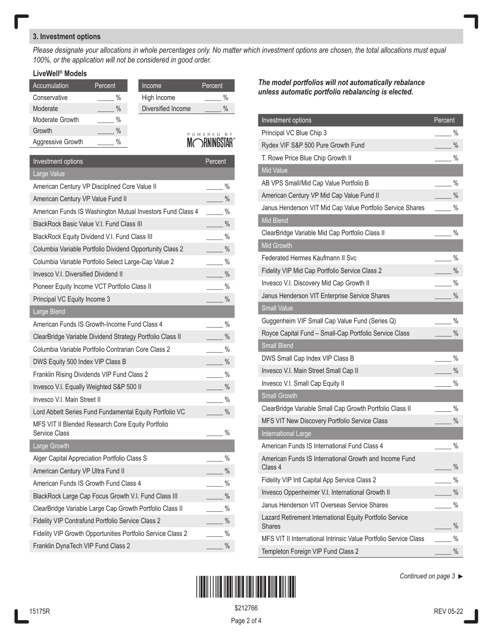## **3. Investment options**

*Please designate your allocations in whole percentages only. No matter which investment options are chosen, the total allocations must equal 100%, or the application will not be considered in good order.*

## **LiveWell® Models**

| Accumulation      | Percent | Income      |                    | Percent       |
|-------------------|---------|-------------|--------------------|---------------|
| Conservative      | $\%$    | High Income |                    | $\%$          |
| Moderate          | $\%$    |             | Diversified Income | $\%$          |
| Moderate Growth   | %       |             |                    |               |
| Growth            | $\%$    |             |                    | BY<br>POWERED |
| Aggressive Growth | $\%$    |             |                    |               |

INI( )KNINUƏIAK

| Investment options                                                 | Percent                        |
|--------------------------------------------------------------------|--------------------------------|
| Large Value                                                        |                                |
| American Century VP Disciplined Core Value II                      | $\%$                           |
| American Century VP Value Fund II                                  | $\%$                           |
| American Funds IS Washington Mutual Investors Fund Class 4         | $\%$                           |
| BlackRock Basic Value V.I. Fund Class III                          | $\frac{0}{0}$<br>$\frac{1}{2}$ |
| BlackRock Equity Dividend V.I. Fund Class III                      | $\%$                           |
| Columbia Variable Portfolio Dividend Opportunity Class 2           | $\%$                           |
| Columbia Variable Portfolio Select Large-Cap Value 2               | $\%$                           |
| <b>Invesco V.I. Diversified Dividend II</b>                        | $\%$                           |
| Pioneer Equity Income VCT Portfolio Class II                       | $\%$                           |
| Principal VC Equity Income 3                                       | $\%$                           |
| Large Blend                                                        |                                |
| American Funds IS Growth-Income Fund Class 4                       | $\frac{0}{0}$                  |
| ClearBridge Variable Dividend Strategy Portfolio Class II          | $\%$                           |
| Columbia Variable Portfolio Contrarian Core Class 2                | $\%$                           |
| DWS Equity 500 Index VIP Class B                                   | $\frac{0}{0}$                  |
| Franklin Rising Dividends VIP Fund Class 2                         | $\%$                           |
| Invesco V.I. Equally Weighted S&P 500 II                           | $\%$                           |
| Invesco V.I. Main Street II                                        | $\%$                           |
| Lord Abbett Series Fund Fundamental Equity Portfolio VC            | $\%$                           |
| MFS VIT II Blended Research Core Equity Portfolio<br>Service Class | $\frac{0}{0}$                  |
| Large Growth                                                       |                                |
| Alger Capital Appreciation Portfolio Class S                       | $\%$                           |
| American Century VP Ultra Fund II                                  | $\%$                           |
| American Funds IS Growth Fund Class 4                              | $\%$                           |
| BlackRock Large Cap Focus Growth V.I. Fund Class III               | $\%$                           |
| ClearBridge Variable Large Cap Growth Portfolio Class II           | $\%$                           |
| Fidelity VIP Contrafund Portfolio Service Class 2                  | $\%$                           |
| Fidelity VIP Growth Opportunities Portfolio Service Class 2        | $\frac{0}{0}$                  |
| Franklin DynaTech VIP Fund Class 2                                 | $\frac{0}{0}$                  |
|                                                                    |                                |

*The model portfolios will not automatically rebalance unless automatic portfolio rebalancing is elected.* 

| Investment options                                                        | Percent       |
|---------------------------------------------------------------------------|---------------|
| Principal VC Blue Chip 3                                                  | %             |
| Rydex VIF S&P 500 Pure Growth Fund                                        | $\%$          |
| T. Rowe Price Blue Chip Growth II                                         | $\%$          |
| <b>Mid Value</b>                                                          |               |
| AB VPS Small/Mid Cap Value Portfolio B                                    | $\%$          |
| American Century VP Mid Cap Value Fund II                                 | $\%$          |
| Janus Henderson VIT Mid Cap Value Portfolio Service Shares<br>Mid Blend   | $\%$          |
| ClearBridge Variable Mid Cap Portfolio Class II                           | $\%$          |
| <b>Mid Growth</b>                                                         |               |
| Federated Hermes Kaufmann II Svc                                          | $\%$          |
| Fidelity VIP Mid Cap Portfolio Service Class 2                            | $\frac{0}{0}$ |
| Invesco V.I. Discovery Mid Cap Growth II                                  | $\%$          |
| Janus Henderson VIT Enterprise Service Shares                             | $\frac{0}{0}$ |
| <b>Small Value</b>                                                        |               |
| Guggenheim VIF Small Cap Value Fund (Series Q)                            | $\%$          |
| Royce Capital Fund - Small-Cap Portfolio Service Class                    | $\frac{0}{0}$ |
| <b>Small Blend</b>                                                        |               |
| DWS Small Cap Index VIP Class B                                           | $\%$          |
| Invesco V.I. Main Street Small Cap II                                     | $\%$          |
| Invesco V.I. Small Cap Equity II                                          | $\%$          |
| <b>Small Growth</b>                                                       |               |
| ClearBridge Variable Small Cap Growth Portfolio Class II                  | $\%$          |
| MFS VIT New Discovery Portfolio Service Class                             | $\frac{0}{0}$ |
| International Large                                                       |               |
| American Funds IS International Fund Class 4                              | $\%$          |
| American Funds IS International Growth and Income Fund<br>Class 4         | %             |
| Fidelity VIP Intl Capital App Service Class 2                             | %             |
| Invesco Oppenheimer V.I. International Growth II                          | $\frac{0}{0}$ |
| Janus Henderson VIT Overseas Service Shares                               | $\%$          |
| Lazard Retirement International Equity Portfolio Service<br><b>Shares</b> | $\%$          |
| MFS VIT II International Intrinsic Value Portfolio Service Class          | $\%$          |
| Templeton Foreign VIP Fund Class 2                                        | $\%$          |



*Continued on page 3* 

Page 2 of 4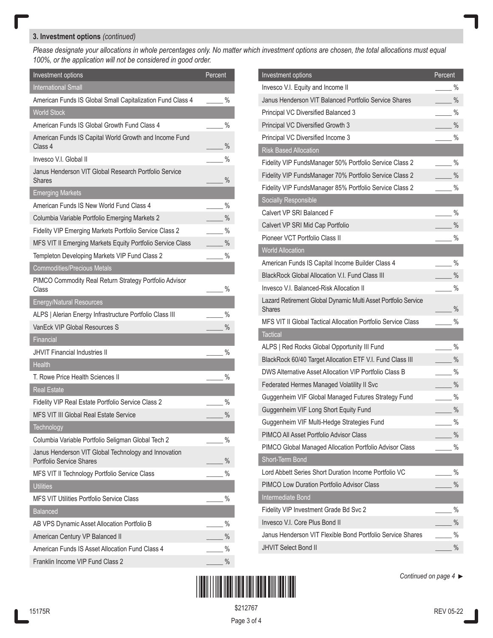## **3. Investment options** *(continued)*

*Please designate your allocations in whole percentages only. No matter which investment options are chosen, the total allocations must equal 100%, or the application will not be considered in good order.*

| Investment options                                                                      | Percent       |
|-----------------------------------------------------------------------------------------|---------------|
| <b>International Small</b>                                                              |               |
| American Funds IS Global Small Capitalization Fund Class 4                              | $\%$          |
| <b>World Stock</b>                                                                      |               |
| American Funds IS Global Growth Fund Class 4                                            | $\%$          |
| American Funds IS Capital World Growth and Income Fund<br>Class 4                       | $\frac{0}{0}$ |
| Invesco V.I. Global II                                                                  | $\%$          |
| Janus Henderson VIT Global Research Portfolio Service<br>Shares                         | $\frac{0}{0}$ |
| <b>Emerging Markets</b>                                                                 |               |
| American Funds IS New World Fund Class 4                                                | $\%$          |
| Columbia Variable Portfolio Emerging Markets 2                                          | $\frac{0}{0}$ |
| Fidelity VIP Emerging Markets Portfolio Service Class 2                                 | $\frac{0}{0}$ |
| MFS VIT II Emerging Markets Equity Portfolio Service Class                              | $\frac{0}{0}$ |
| Templeton Developing Markets VIP Fund Class 2                                           | $\%$          |
| <b>Commodities/Precious Metals</b>                                                      |               |
| PIMCO Commodity Real Return Strategy Portfolio Advisor<br>Class                         | %             |
| <b>Energy/Natural Resources</b>                                                         |               |
| ALPS   Alerian Energy Infrastructure Portfolio Class III                                | %             |
| VanEck VIP Global Resources S                                                           | $\frac{0}{0}$ |
| Financial                                                                               |               |
| <b>JHVIT Financial Industries II</b>                                                    | $\%$          |
| <b>Health</b>                                                                           |               |
| T. Rowe Price Health Sciences II                                                        | $\%$          |
| <b>Real Estate</b>                                                                      |               |
| Fidelity VIP Real Estate Portfolio Service Class 2                                      | $\frac{0}{0}$ |
| MFS VIT III Global Real Estate Service                                                  | $\frac{0}{0}$ |
| <b>Technology</b>                                                                       |               |
| Columbia Variable Portfolio Seligman Global Tech 2                                      | $\frac{0}{0}$ |
| Janus Henderson VIT Global Technology and Innovation<br><b>Portfolio Service Shares</b> | $\%$          |
| MFS VIT II Technology Portfolio Service Class                                           | $\%$          |
| <b>Utilities</b>                                                                        |               |
| MFS VIT Utilities Portfolio Service Class                                               | $\%$          |
| <b>Balanced</b>                                                                         |               |
| AB VPS Dynamic Asset Allocation Portfolio B                                             | $\%$          |
| American Century VP Balanced II                                                         | $\%$          |
| American Funds IS Asset Allocation Fund Class 4                                         | %             |
| Franklin Income VIP Fund Class 2                                                        | $\%$          |

| Investment options                                             | Percent       |
|----------------------------------------------------------------|---------------|
| Invesco V.I. Equity and Income II                              | %             |
| Janus Henderson VIT Balanced Portfolio Service Shares          | $\frac{0}{0}$ |
| <b>Principal VC Diversified Balanced 3</b>                     | $\%$          |
| Principal VC Diversified Growth 3                              | $\frac{0}{0}$ |
| Principal VC Diversified Income 3                              | $\frac{0}{0}$ |
| <b>Risk Based Allocation</b>                                   |               |
| Fidelity VIP FundsManager 50% Portfolio Service Class 2        | $\%$          |
| Fidelity VIP FundsManager 70% Portfolio Service Class 2        | $\%$          |
| Fidelity VIP FundsManager 85% Portfolio Service Class 2        | %             |
| Socially Responsible                                           |               |
| Calvert VP SRI Balanced F                                      | $\%$          |
| Calvert VP SRI Mid Cap Portfolio                               | $\%$          |
| Pioneer VCT Portfolio Class II                                 | $\frac{0}{0}$ |
| <b>World Allocation</b>                                        |               |
| American Funds IS Capital Income Builder Class 4               | $\%$          |
| BlackRock Global Allocation V.I. Fund Class III                | $\%$          |
| Invesco V.I. Balanced-Risk Allocation II                       | %             |
| Lazard Retirement Global Dynamic Multi Asset Portfolio Service |               |
| Shares                                                         | $\%$          |
| MFS VIT II Global Tactical Allocation Portfolio Service Class  | %             |
| <b>Tactical</b>                                                |               |
| ALPS   Red Rocks Global Opportunity III Fund                   | $\%$          |
| BlackRock 60/40 Target Allocation ETF V.I. Fund Class III      | $\%$          |
| DWS Alternative Asset Allocation VIP Portfolio Class B         | $\%$          |
| Federated Hermes Managed Volatility II Svc                     | $\%$          |
| Guggenheim VIF Global Managed Futures Strategy Fund            | %             |
| Guggenheim VIF Long Short Equity Fund                          | $\%$          |
| Guggenheim VIF Multi-Hedge Strategies Fund                     | $\%$          |
| PIMCO All Asset Portfolio Advisor Class                        | $\%$          |
| PIMCO Global Managed Allocation Portfolio Advisor Class        | $\%$          |
| Short-Term Bond                                                |               |
| Lord Abbett Series Short Duration Income Portfolio VC          | $\%$          |
| PIMCO Low Duration Portfolio Advisor Class                     | $\frac{0}{0}$ |
| Intermediate Bond                                              |               |
| Fidelity VIP Investment Grade Bd Svc 2                         | $\%$          |
| Invesco V.I. Core Plus Bond II                                 | $\%$          |
| Janus Henderson VIT Flexible Bond Portfolio Service Shares     | %             |
| <b>JHVIT Select Bond II</b>                                    | $\%$          |



*Continued on page 4* 

\$212767

Page 3 of 4